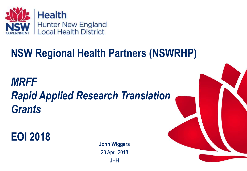

# **NSW Regional Health Partners (NSWRHP)**

*MRFF Rapid Applied Research Translation Grants*

**EOI 2018**

**John Wiggers** 23 April 2018 **JHH** 

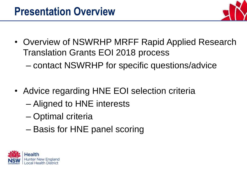

- Overview of NSWRHP MRFF Rapid Applied Research Translation Grants EOI 2018 process
	- contact NSWRHP for specific questions/advice
- Advice regarding HNE EOI selection criteria
	- Aligned to HNE interests
	- Optimal criteria
	- Basis for HNE panel scoring

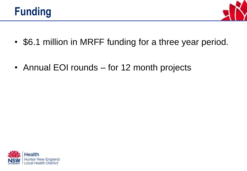



- \$6.1 million in MRFF funding for a three year period.
- Annual EOI rounds for 12 month projects

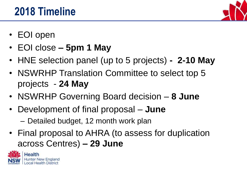### **2018 Timeline**



- EOI open
- EOI close **– 5pm 1 May**
- HNE selection panel (up to 5 projects) **- 2-10 May**
- NSWRHP Translation Committee to select top 5 projects - **24 May**
- NSWRHP Governing Board decision **8 June**
- Development of final proposal **June**
	- Detailed budget, 12 month work plan
- Final proposal to AHRA (to assess for duplication across Centres) **– 29 June**

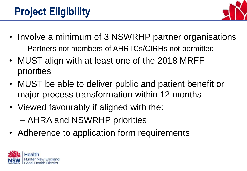

- Involve a minimum of 3 NSWRHP partner organisations
	- Partners not members of AHRTCs/CIRHs not permitted
- MUST align with at least one of the 2018 MRFF priorities
- MUST be able to deliver public and patient benefit or major process transformation within 12 months
- Viewed favourably if aligned with the:
	- AHRA and NSWRHP priorities
- Adherence to application form requirements

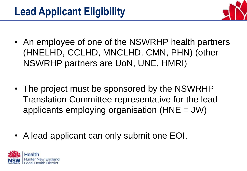

- An employee of one of the NSWRHP health partners (HNELHD, CCLHD, MNCLHD, CMN, PHN) (other NSWRHP partners are UoN, UNE, HMRI)
- The project must be sponsored by the NSWRHP Translation Committee representative for the lead applicants employing organisation (HNE = JW)
- A lead applicant can only submit one EOI.

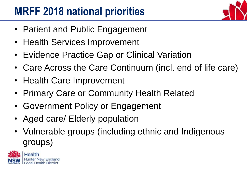# **MRFF 2018 national priorities**

- Patient and Public Engagement
- Health Services Improvement
- Evidence Practice Gap or Clinical Variation
- Care Across the Care Continuum (incl. end of life care)
- Health Care Improvement
- Primary Care or Community Health Related
- Government Policy or Engagement
- Aged care/ Elderly population
- Vulnerable groups (including ethnic and Indigenous groups)

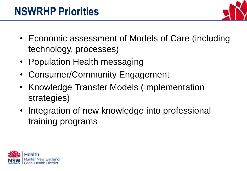

- Economic assessment of Models of Care (including technology, processes)
- Population Health messaging
- Consumer/Community Engagement
- Knowledge Transfer Models (Implementation strategies)
- Integration of new knowledge into professional training programs

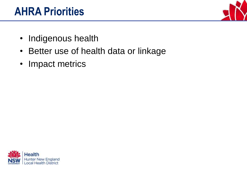### **AHRA Priorities**



- Indigenous health
- Better use of health data or linkage
- Impact metrics

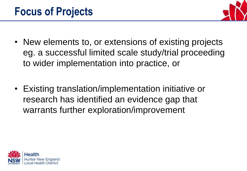

- New elements to, or extensions of existing projects eg. a successful limited scale study/trial proceeding to wider implementation into practice, or
- Existing translation/implementation initiative or research has identified an evidence gap that warrants further exploration/improvement

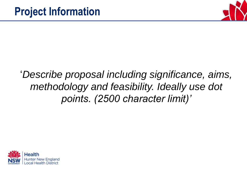

### '*Describe proposal including significance, aims, methodology and feasibility. Ideally use dot points. (2500 character limit)'*

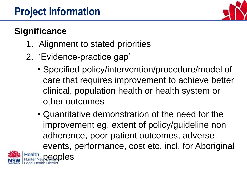

#### **Significance**

- 1. Alignment to stated priorities
- 2. 'Evidence-practice gap'
	- Specified policy/intervention/procedure/model of care that requires improvement to achieve better clinical, population health or health system or other outcomes
	- Quantitative demonstration of the need for the improvement eg. extent of policy/guideline non adherence, poor patient outcomes, adverse events, performance, cost etc. incl. for Aboriginal eoples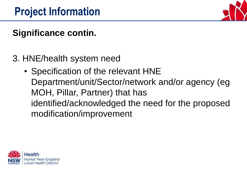

### **Significance contin.**

- 3. HNE/health system need
	- Specification of the relevant HNE Department/unit/Sector/network and/or agency (eg MOH, Pillar, Partner) that has identified/acknowledged the need for the proposed modification/improvement

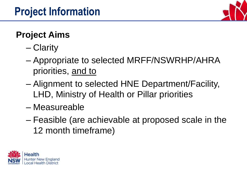

### **Project Aims**

- Clarity
- Appropriate to selected MRFF/NSWRHP/AHRA priorities, and to
- Alignment to selected HNE Department/Facility, LHD, Ministry of Health or Pillar priorities
- Measureable
- Feasible (are achievable at proposed scale in the 12 month timeframe)

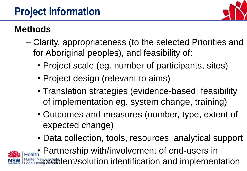# **Project Information**



#### **Methods**

- Clarity, appropriateness (to the selected Priorities and for Aboriginal peoples), and feasibility of:
	- Project scale (eg. number of participants, sites)
	- Project design (relevant to aims)
	- Translation strategies (evidence-based, feasibility of implementation eg. system change, training)
	- Outcomes and measures (number, type, extent of expected change)
	- Data collection, tools, resources, analytical support

**Flealth** Partnership with/involvement of end-users in nter New **problem/solution identification and implementation**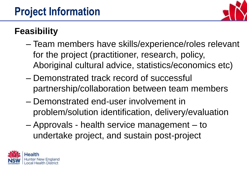

#### **Feasibility**

- Team members have skills/experience/roles relevant for the project (practitioner, research, policy, Aboriginal cultural advice, statistics/economics etc)
- Demonstrated track record of successful partnership/collaboration between team members
- Demonstrated end-user involvement in problem/solution identification, delivery/evaluation
- Approvals health service management to undertake project, and sustain post-project

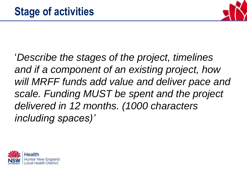

'*Describe the stages of the project, timelines and if a component of an existing project, how will MRFF funds add value and deliver pace and scale. Funding MUST be spent and the project delivered in 12 months. (1000 characters including spaces)'*

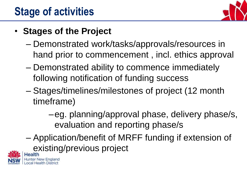

#### • **Stages of the Project**

- Demonstrated work/tasks/approvals/resources in hand prior to commencement , incl. ethics approval
- Demonstrated ability to commence immediately following notification of funding success
- Stages/timelines/milestones of project (12 month timeframe)
	- –eg. planning/approval phase, delivery phase/s, evaluation and reporting phase/s
- Application/benefit of MRFF funding if extension of existing/previous project

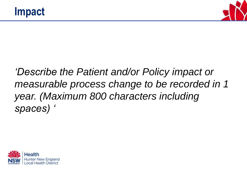

### *'Describe the Patient and/or Policy impact or measurable process change to be recorded in 1 year. (Maximum 800 characters including spaces) '*

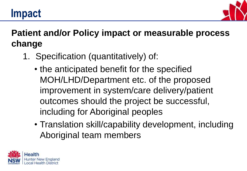# **Impact**



### **Patient and/or Policy impact or measurable process change**

- 1. Specification (quantitatively) of:
	- the anticipated benefit for the specified MOH/LHD/Department etc. of the proposed improvement in system/care delivery/patient outcomes should the project be successful, including for Aboriginal peoples
	- Translation skill/capability development, including Aboriginal team members

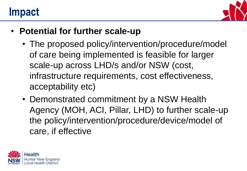### **Impact**



- **Potential for further scale-up**
	- The proposed policy/intervention/procedure/model of care being implemented is feasible for larger scale-up across LHD/s and/or NSW (cost, infrastructure requirements, cost effectiveness, acceptability etc)
	- Demonstrated commitment by a NSW Health Agency (MOH, ACI, Pillar, LHD) to further scale-up the policy/intervention/procedure/device/model of care, if effective

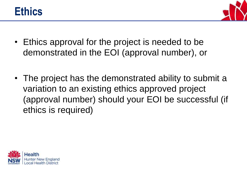



- Ethics approval for the project is needed to be demonstrated in the EOI (approval number), or
- The project has the demonstrated ability to submit a variation to an existing ethics approved project (approval number) should your EOI be successful (if ethics is required)

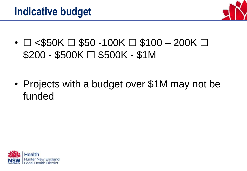

•  $\Box$  <\$50K  $\Box$  \$50 -100K  $\Box$  \$100 - 200K  $\Box$  $$200 - $500K \square $500K - $1M$ 

• Projects with a budget over \$1M may not be funded

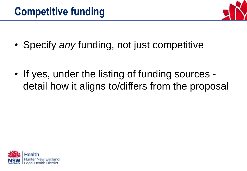

- Specify *any* funding, not just competitive
- If yes, under the listing of funding sources detail how it aligns to/differs from the proposal

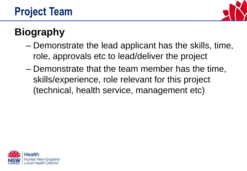

# **Biography**

- Demonstrate the lead applicant has the skills, time, role, approvals etc to lead/deliver the project
- Demonstrate that the team member has the time, skills/experience, role relevant for this project (technical, health service, management etc)

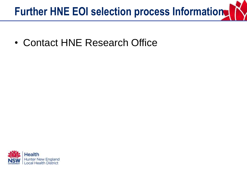# **Further HNE EOI selection process Information.**

• Contact HNE Research Office